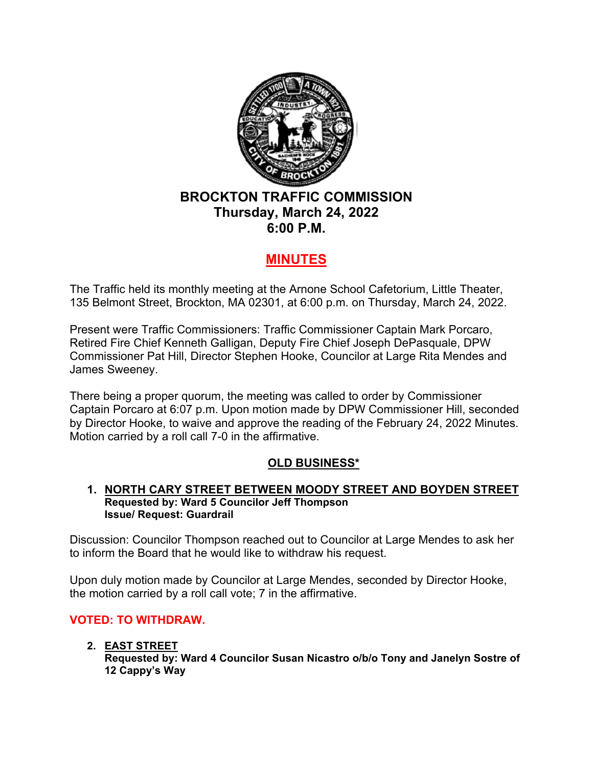

# **BROCKTON TRAFFIC COMMISSION Thursday, March 24, 2022 6:00 P.M.**

# **MINUTES**

The Traffic held its monthly meeting at the Arnone School Cafetorium, Little Theater, 135 Belmont Street, Brockton, MA 02301, at 6:00 p.m. on Thursday, March 24, 2022.

Present were Traffic Commissioners: Traffic Commissioner Captain Mark Porcaro, Retired Fire Chief Kenneth Galligan, Deputy Fire Chief Joseph DePasquale, DPW Commissioner Pat Hill, Director Stephen Hooke, Councilor at Large Rita Mendes and James Sweeney.

There being a proper quorum, the meeting was called to order by Commissioner Captain Porcaro at 6:07 p.m. Upon motion made by DPW Commissioner Hill, seconded by Director Hooke, to waive and approve the reading of the February 24, 2022 Minutes. Motion carried by a roll call 7-0 in the affirmative.

# **OLD BUSINESS\***

#### **1. NORTH CARY STREET BETWEEN MOODY STREET AND BOYDEN STREET Requested by: Ward 5 Councilor Jeff Thompson Issue/ Request: Guardrail**

 to inform the Board that he would like to withdraw his request. Discussion: Councilor Thompson reached out to Councilor at Large Mendes to ask her

Upon duly motion made by Councilor at Large Mendes, seconded by Director Hooke, the motion carried by a roll call vote; 7 in the affirmative.

# **VOTED: TO WITHDRAW.**

### **2. EAST STREET**

**Requested by: Ward 4 Councilor Susan Nicastro o/b/o Tony and Janelyn Sostre of 12 Cappy's Way**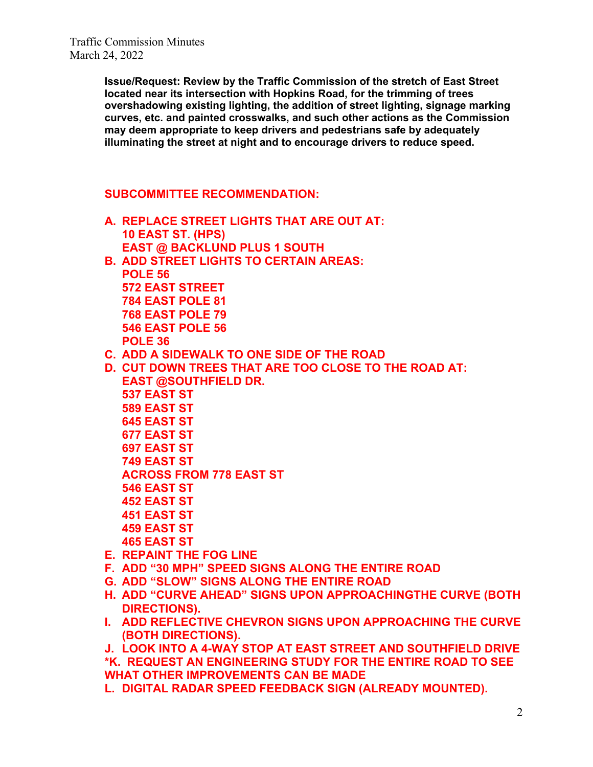**Issue/Request: Review by the Traffic Commission of the stretch of East Street located near its intersection with Hopkins Road, for the trimming of trees overshadowing existing lighting, the addition of street lighting, signage marking curves, etc. and painted crosswalks, and such other actions as the Commission may deem appropriate to keep drivers and pedestrians safe by adequately illuminating the street at night and to encourage drivers to reduce speed.** 

### **SUBCOMMITTEE RECOMMENDATION:**

- **A. REPLACE STREET LIGHTS THAT ARE OUT AT: 10 EAST ST. (HPS) EAST @ BACKLUND PLUS 1 SOUTH**
- **B. ADD STREET LIGHTS TO CERTAIN AREAS: POLE 56 572 EAST STREET 784 EAST POLE 81 768 EAST POLE 79 546 EAST POLE 56 POLE 36**
- **C. ADD A SIDEWALK TO ONE SIDE OF THE ROAD**
- **D. CUT DOWN TREES THAT ARE TOO CLOSE TO THE ROAD AT: EAST @SOUTHFIELD DR. 537 EAST ST 589 EAST ST 645 EAST ST 677 EAST ST 697 EAST ST 749 EAST ST ACROSS FROM 778 EAST ST 546 EAST ST 452 EAST ST 451 EAST ST 459 EAST ST 465 EAST ST**
- **E. REPAINT THE FOG LINE**
- **F. ADD "30 MPH" SPEED SIGNS ALONG THE ENTIRE ROAD**
- **G. ADD "SLOW" SIGNS ALONG THE ENTIRE ROAD**
- **H. ADD "CURVE AHEAD" SIGNS UPON APPROACHINGTHE CURVE (BOTH DIRECTIONS).**
- **I. ADD REFLECTIVE CHEVRON SIGNS UPON APPROACHING THE CURVE (BOTH DIRECTIONS).**

**J. LOOK INTO A 4-WAY STOP AT EAST STREET AND SOUTHFIELD DRIVE \*K. REQUEST AN ENGINEERING STUDY FOR THE ENTIRE ROAD TO SEE WHAT OTHER IMPROVEMENTS CAN BE MADE**

**L. DIGITAL RADAR SPEED FEEDBACK SIGN (ALREADY MOUNTED).**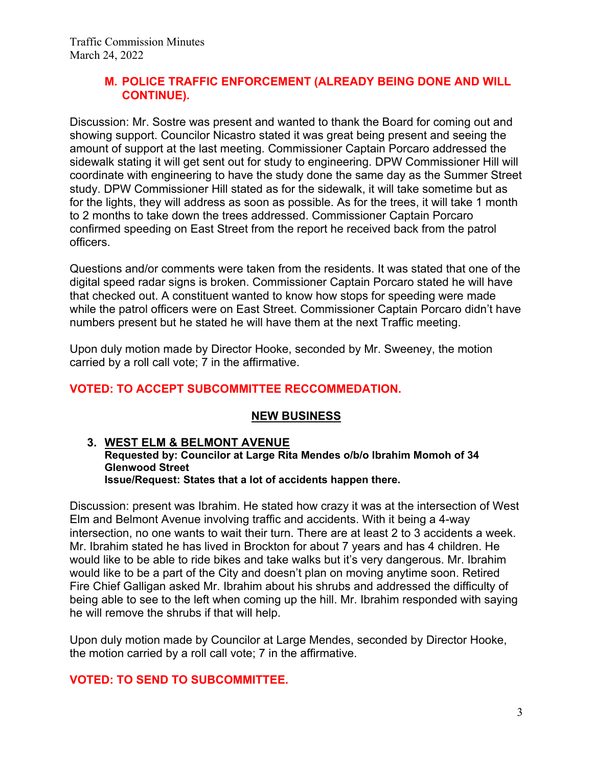### **M. POLICE TRAFFIC ENFORCEMENT (ALREADY BEING DONE AND WILL CONTINUE).**

Discussion: Mr. Sostre was present and wanted to thank the Board for coming out and showing support. Councilor Nicastro stated it was great being present and seeing the amount of support at the last meeting. Commissioner Captain Porcaro addressed the sidewalk stating it will get sent out for study to engineering. DPW Commissioner Hill will coordinate with engineering to have the study done the same day as the Summer Street study. DPW Commissioner Hill stated as for the sidewalk, it will take sometime but as for the lights, they will address as soon as possible. As for the trees, it will take 1 month to 2 months to take down the trees addressed. Commissioner Captain Porcaro confirmed speeding on East Street from the report he received back from the patrol officers.

Questions and/or comments were taken from the residents. It was stated that one of the digital speed radar signs is broken. Commissioner Captain Porcaro stated he will have that checked out. A constituent wanted to know how stops for speeding were made while the patrol officers were on East Street. Commissioner Captain Porcaro didn't have numbers present but he stated he will have them at the next Traffic meeting.

Upon duly motion made by Director Hooke, seconded by Mr. Sweeney, the motion carried by a roll call vote; 7 in the affirmative.

# **VOTED: TO ACCEPT SUBCOMMITTEE RECCOMMEDATION.**

# **NEW BUSINESS**

#### **3. WEST ELM & BELMONT AVENUE Requested by: Councilor at Large Rita Mendes o/b/o Ibrahim Momoh of 34 Glenwood Street Issue/Request: States that a lot of accidents happen there.**

Discussion: present was Ibrahim. He stated how crazy it was at the intersection of West Elm and Belmont Avenue involving traffic and accidents. With it being a 4-way intersection, no one wants to wait their turn. There are at least 2 to 3 accidents a week. Mr. Ibrahim stated he has lived in Brockton for about 7 years and has 4 children. He would like to be able to ride bikes and take walks but it's very dangerous. Mr. Ibrahim would like to be a part of the City and doesn't plan on moving anytime soon. Retired Fire Chief Galligan asked Mr. Ibrahim about his shrubs and addressed the difficulty of being able to see to the left when coming up the hill. Mr. Ibrahim responded with saying he will remove the shrubs if that will help.

Upon duly motion made by Councilor at Large Mendes, seconded by Director Hooke, the motion carried by a roll call vote; 7 in the affirmative.

# **VOTED: TO SEND TO SUBCOMMITTEE.**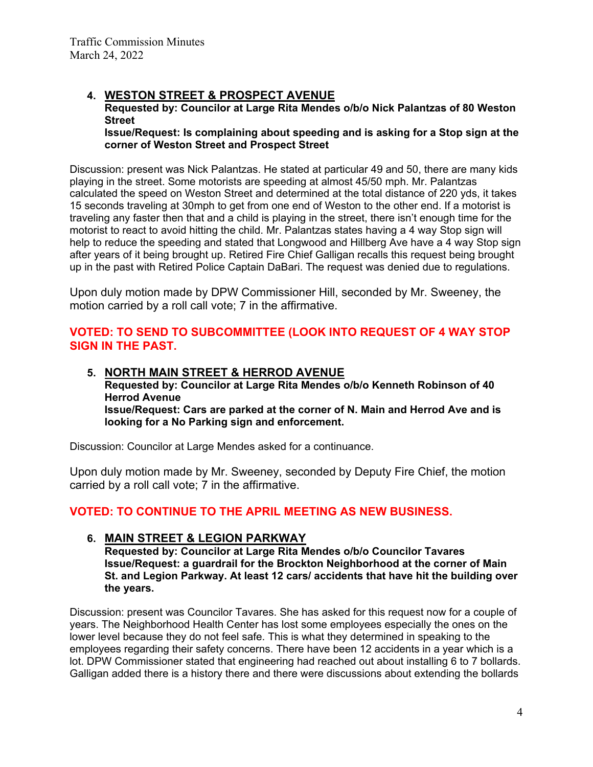### **4. WESTON STREET & PROSPECT AVENUE**

#### **Requested by: Councilor at Large Rita Mendes o/b/o Nick Palantzas of 80 Weston Street**

**Issue/Request: Is complaining about speeding and is asking for a Stop sign at the corner of Weston Street and Prospect Street** 

Discussion: present was Nick Palantzas. He stated at particular 49 and 50, there are many kids playing in the street. Some motorists are speeding at almost 45/50 mph. Mr. Palantzas calculated the speed on Weston Street and determined at the total distance of 220 yds, it takes 15 seconds traveling at 30mph to get from one end of Weston to the other end. If a motorist is traveling any faster then that and a child is playing in the street, there isn't enough time for the motorist to react to avoid hitting the child. Mr. Palantzas states having a 4 way Stop sign will help to reduce the speeding and stated that Longwood and Hillberg Ave have a 4 way Stop sign after years of it being brought up. Retired Fire Chief Galligan recalls this request being brought up in the past with Retired Police Captain DaBari. The request was denied due to regulations.

Upon duly motion made by DPW Commissioner Hill, seconded by Mr. Sweeney, the motion carried by a roll call vote; 7 in the affirmative.

### **VOTED: TO SEND TO SUBCOMMITTEE (LOOK INTO REQUEST OF 4 WAY STOP SIGN IN THE PAST.**

#### **5. NORTH MAIN STREET & HERROD AVENUE Requested by: Councilor at Large Rita Mendes o/b/o Kenneth Robinson of 40 Herrod Avenue Issue/Request: Cars are parked at the corner of N. Main and Herrod Ave and is looking for a No Parking sign and enforcement.**

Discussion: Councilor at Large Mendes asked for a continuance.

Upon duly motion made by Mr. Sweeney, seconded by Deputy Fire Chief, the motion carried by a roll call vote; 7 in the affirmative.

# **VOTED: TO CONTINUE TO THE APRIL MEETING AS NEW BUSINESS.**

### **6. MAIN STREET & LEGION PARKWAY**

**Requested by: Councilor at Large Rita Mendes o/b/o Councilor Tavares Issue/Request: a guardrail for the Brockton Neighborhood at the corner of Main St. and Legion Parkway. At least 12 cars/ accidents that have hit the building over the years.**

Discussion: present was Councilor Tavares. She has asked for this request now for a couple of years. The Neighborhood Health Center has lost some employees especially the ones on the lower level because they do not feel safe. This is what they determined in speaking to the employees regarding their safety concerns. There have been 12 accidents in a year which is a lot. DPW Commissioner stated that engineering had reached out about installing 6 to 7 bollards. Galligan added there is a history there and there were discussions about extending the bollards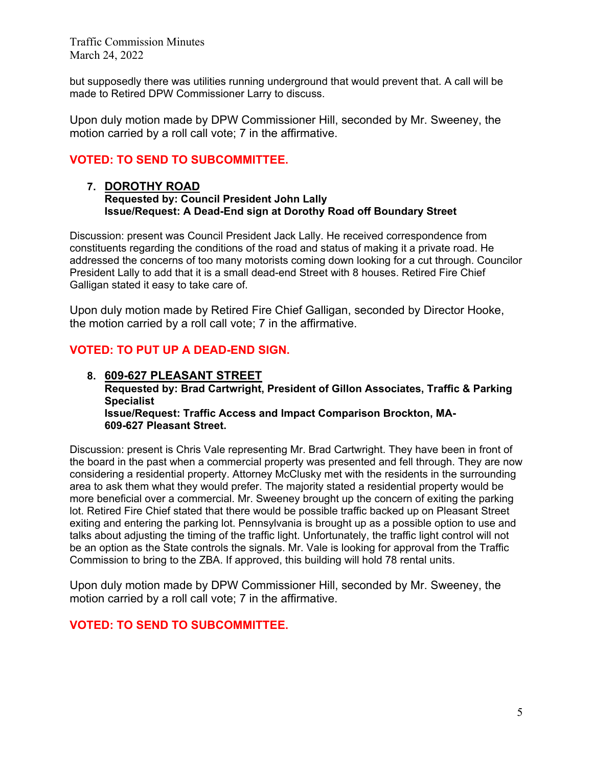Traffic Commission Minutes March 24, 2022

but supposedly there was utilities running underground that would prevent that. A call will be made to Retired DPW Commissioner Larry to discuss.

Upon duly motion made by DPW Commissioner Hill, seconded by Mr. Sweeney, the motion carried by a roll call vote; 7 in the affirmative.

# **VOTED: TO SEND TO SUBCOMMITTEE.**

#### **Requested by: Council President John Lally 7. DOROTHY ROAD Issue/Request: A Dead-End sign at Dorothy Road off Boundary Street**

Discussion: present was Council President Jack Lally. He received correspondence from constituents regarding the conditions of the road and status of making it a private road. He addressed the concerns of too many motorists coming down looking for a cut through. Councilor President Lally to add that it is a small dead-end Street with 8 houses. Retired Fire Chief Galligan stated it easy to take care of.

Upon duly motion made by Retired Fire Chief Galligan, seconded by Director Hooke, the motion carried by a roll call vote; 7 in the affirmative.

# **VOTED: TO PUT UP A DEAD-END SIGN.**

**8. 609-627 PLEASANT STREET Requested by: Brad Cartwright, President of Gillon Associates, Traffic & Parking Specialist Issue/Request: Traffic Access and Impact Comparison Brockton, MA-609-627 Pleasant Street.** 

Discussion: present is Chris Vale representing Mr. Brad Cartwright. They have been in front of the board in the past when a commercial property was presented and fell through. They are now considering a residential property. Attorney McClusky met with the residents in the surrounding area to ask them what they would prefer. The majority stated a residential property would be more beneficial over a commercial. Mr. Sweeney brought up the concern of exiting the parking lot. Retired Fire Chief stated that there would be possible traffic backed up on Pleasant Street exiting and entering the parking lot. Pennsylvania is brought up as a possible option to use and talks about adjusting the timing of the traffic light. Unfortunately, the traffic light control will not be an option as the State controls the signals. Mr. Vale is looking for approval from the Traffic Commission to bring to the ZBA. If approved, this building will hold 78 rental units.

Upon duly motion made by DPW Commissioner Hill, seconded by Mr. Sweeney, the motion carried by a roll call vote; 7 in the affirmative.

# **VOTED: TO SEND TO SUBCOMMITTEE.**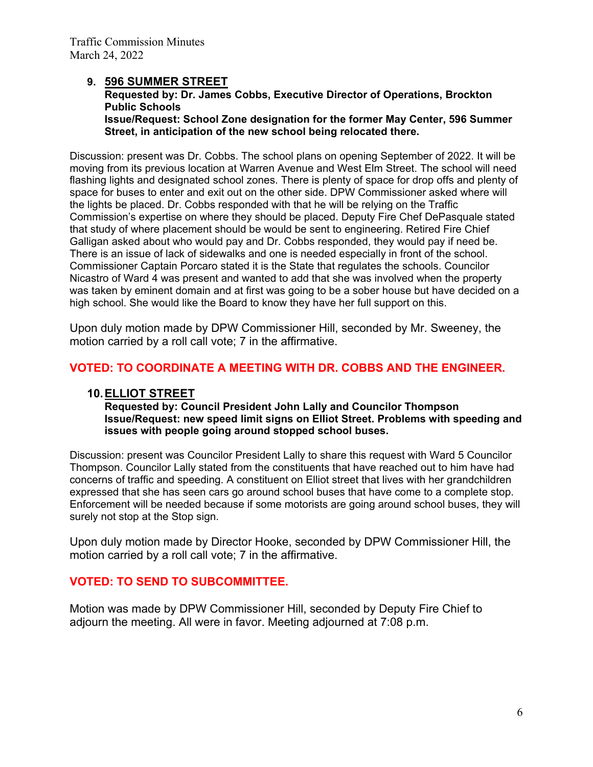# **9. 596 SUMMER STREET**

#### **Requested by: Dr. James Cobbs, Executive Director of Operations, Brockton Public Schools**

**Issue/Request: School Zone designation for the former May Center, 596 Summer Street, in anticipation of the new school being relocated there.** 

Discussion: present was Dr. Cobbs. The school plans on opening September of 2022. It will be moving from its previous location at Warren Avenue and West Elm Street. The school will need flashing lights and designated school zones. There is plenty of space for drop offs and plenty of space for buses to enter and exit out on the other side. DPW Commissioner asked where will the lights be placed. Dr. Cobbs responded with that he will be relying on the Traffic Commission's expertise on where they should be placed. Deputy Fire Chef DePasquale stated that study of where placement should be would be sent to engineering. Retired Fire Chief Galligan asked about who would pay and Dr. Cobbs responded, they would pay if need be. There is an issue of lack of sidewalks and one is needed especially in front of the school. Commissioner Captain Porcaro stated it is the State that regulates the schools. Councilor Nicastro of Ward 4 was present and wanted to add that she was involved when the property was taken by eminent domain and at first was going to be a sober house but have decided on a high school. She would like the Board to know they have her full support on this.

Upon duly motion made by DPW Commissioner Hill, seconded by Mr. Sweeney, the motion carried by a roll call vote; 7 in the affirmative.

### **VOTED: TO COORDINATE A MEETING WITH DR. COBBS AND THE ENGINEER.**

### **10. ELLIOT STREET**

**Requested by: Council President John Lally and Councilor Thompson Issue/Request: new speed limit signs on Elliot Street. Problems with speeding and issues with people going around stopped school buses.** 

Discussion: present was Councilor President Lally to share this request with Ward 5 Councilor Thompson. Councilor Lally stated from the constituents that have reached out to him have had concerns of traffic and speeding. A constituent on Elliot street that lives with her grandchildren expressed that she has seen cars go around school buses that have come to a complete stop. Enforcement will be needed because if some motorists are going around school buses, they will surely not stop at the Stop sign.

Upon duly motion made by Director Hooke, seconded by DPW Commissioner Hill, the motion carried by a roll call vote; 7 in the affirmative.

### **VOTED: TO SEND TO SUBCOMMITTEE.**

Motion was made by DPW Commissioner Hill, seconded by Deputy Fire Chief to adjourn the meeting. All were in favor. Meeting adjourned at 7:08 p.m.